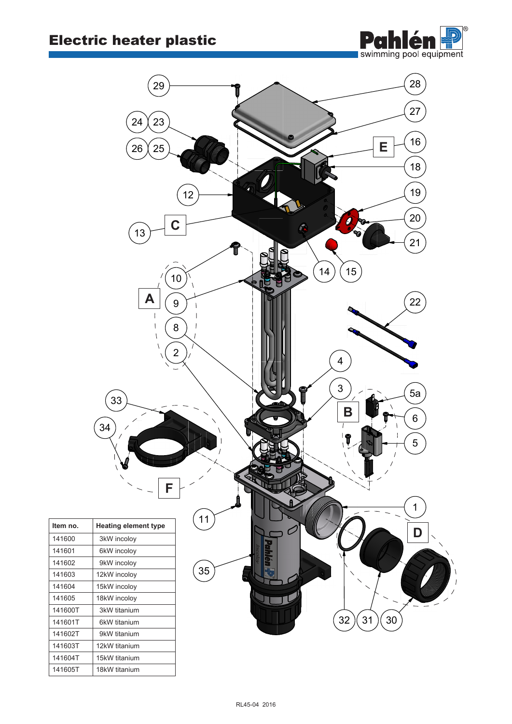$\frac{1}{14}$   $\frac{1}{14}$   $\frac{1}{14}$   $\frac{1}{14}$   $\frac{1}{14}$   $\frac{1}{14}$   $\frac{1}{14}$   $\frac{1}{14}$  $\frac{1}{10}$   $\frac{1}{10}$   $\frac{1}{10}$   $\frac{1}{10}$   $\frac{1}{10}$   $\frac{1}{10}$   $\frac{1}{10}$ 



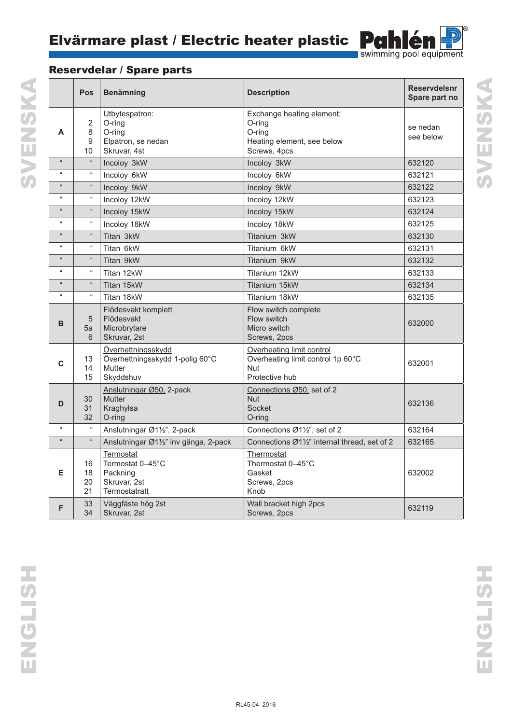

SVENSKA

## Reservdelar / Spare parts

|                             | Pos                  | <b>Benämning</b>                                                                    | <b>Description</b>                                                                             | <b>Reservdelsnr</b><br>Spare part no |
|-----------------------------|----------------------|-------------------------------------------------------------------------------------|------------------------------------------------------------------------------------------------|--------------------------------------|
| A                           | 2<br>8<br>9<br>10    | Utbytespatron:<br>O-ring<br>O-ring<br>Elpatron, se nedan<br>Skruvar, 4st            | Exchange heating element:<br>O-ring<br>O-ring<br>Heating element, see below<br>Screws, 4pcs    | se nedan<br>see below                |
| $\alpha$                    | $\alpha$             | Incoloy 3kW                                                                         | Incoloy 3kW                                                                                    | 632120                               |
| $\alpha$                    | $\Omega$             | Incoloy 6kW                                                                         | Incoloy 6kW                                                                                    | 632121                               |
| $\alpha$                    | $\alpha$             | Incoloy 9kW                                                                         | Incoloy 9kW                                                                                    | 632122                               |
| $\alpha$                    | $\alpha$             | Incoloy 12kW                                                                        | Incoloy 12kW                                                                                   | 632123                               |
| $\Omega$                    | $\mathfrak{u}$       | Incoloy 15kW                                                                        | Incoloy 15kW                                                                                   | 632124                               |
| $\alpha$                    | $\alpha$             | Incoloy 18kW                                                                        | Incoloy 18kW                                                                                   | 632125                               |
| $\mathfrak{u}$              | $\alpha$             | Titan 3kW                                                                           | Titanium 3kW                                                                                   | 632130                               |
| $\alpha$                    | $\Omega$             | Titan 6kW                                                                           | Titanium 6kW                                                                                   | 632131                               |
| $\alpha$                    | $\alpha$             | Titan 9kW                                                                           | Titanium 9kW                                                                                   | 632132                               |
| $\mathfrak{c}\mathfrak{c}$  | $\pmb{\mathfrak{u}}$ | Titan 12kW                                                                          | Titanium 12kW                                                                                  | 632133                               |
| $\alpha$                    | $\alpha$             | Titan 15kW                                                                          | Titanium 15kW                                                                                  | 632134                               |
| $\epsilon$                  | $\Omega$             | Titan 18kW                                                                          | Titanium 18kW                                                                                  | 632135                               |
| B                           | 5<br>5a<br>6         | Flödesvakt komplett<br>Flödesvakt<br>Microbrytare<br>Skruvar, 2st                   | <b>Flow switch complete</b><br>Flow switch<br>Micro switch<br>Screws, 2pcs                     | 632000                               |
| C                           | 13<br>14<br>15       | Överhettningsskydd<br>Överhettningsskydd 1-polig 60°C<br><b>Mutter</b><br>Skyddshuv | Overheating limit control<br>Overheating limit control 1p 60°C<br><b>Nut</b><br>Protective hub | 632001                               |
| D                           | 30<br>31<br>32       | Anslutningar Ø50, 2-pack<br><b>Mutter</b><br>Kraghylsa<br>O-ring                    | Connections Ø50, set of 2<br><b>Nut</b><br>Socket<br>O-ring                                    | 632136                               |
| $\boldsymbol{\mathfrak{u}}$ | $\alpha$             | Anslutningar Ø1½", 2-pack                                                           | Connections Ø11/2", set of 2                                                                   | 632164                               |
| $\mu$                       | $\alpha$             | Anslutningar Ø1½" inv gänga, 2-pack                                                 | Connections Ø11/2" internal thread, set of 2                                                   | 632165                               |
| Е                           | 16<br>18<br>20<br>21 | <b>Termostat</b><br>Termostat 0-45°C<br>Packning<br>Skruvar, 2st<br>Termostatratt   | Thermostat<br>Thermostat 0-45°C<br>Gasket<br>Screws, 2pcs<br>Knob                              | 632002                               |
| F                           | 33<br>34             | Väggfäste hög 2st<br>Skruvar, 2st                                                   | Wall bracket high 2pcs<br>Screws, 2pcs                                                         | 632119                               |